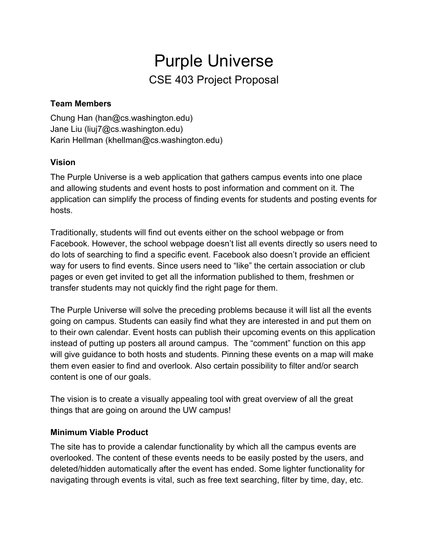# Purple Universe CSE 403 Project Proposal

### **Team Members**

Chung Han (han@cs.washington.edu) Jane Liu (liuj7@cs.washington.edu) Karin Hellman (khellman@cs.washington.edu)

## **Vision**

The Purple Universe is a web application that gathers campus events into one place and allowing students and event hosts to post information and comment on it. The application can simplify the process of finding events for students and posting events for hosts.

Traditionally, students will find out events either on the school webpage or from Facebook. However, the school webpage doesn't list all events directly so users need to do lots of searching to find a specific event. Facebook also doesn't provide an efficient way for users to find events. Since users need to "like" the certain association or club pages or even get invited to get all the information published to them, freshmen or transfer students may not quickly find the right page for them.

The Purple Universe will solve the preceding problems because it will list all the events going on campus. Students can easily find what they are interested in and put them on to their own calendar. Event hosts can publish their upcoming events on this application instead of putting up posters all around campus. The "comment" function on this app will give guidance to both hosts and students. Pinning these events on a map will make them even easier to find and overlook. Also certain possibility to filter and/or search content is one of our goals.

The vision is to create a visually appealing tool with great overview of all the great things that are going on around the UW campus!

## **Minimum Viable Product**

The site has to provide a calendar functionality by which all the campus events are overlooked. The content of these events needs to be easily posted by the users, and deleted/hidden automatically after the event has ended. Some lighter functionality for navigating through events is vital, such as free text searching, filter by time, day, etc.